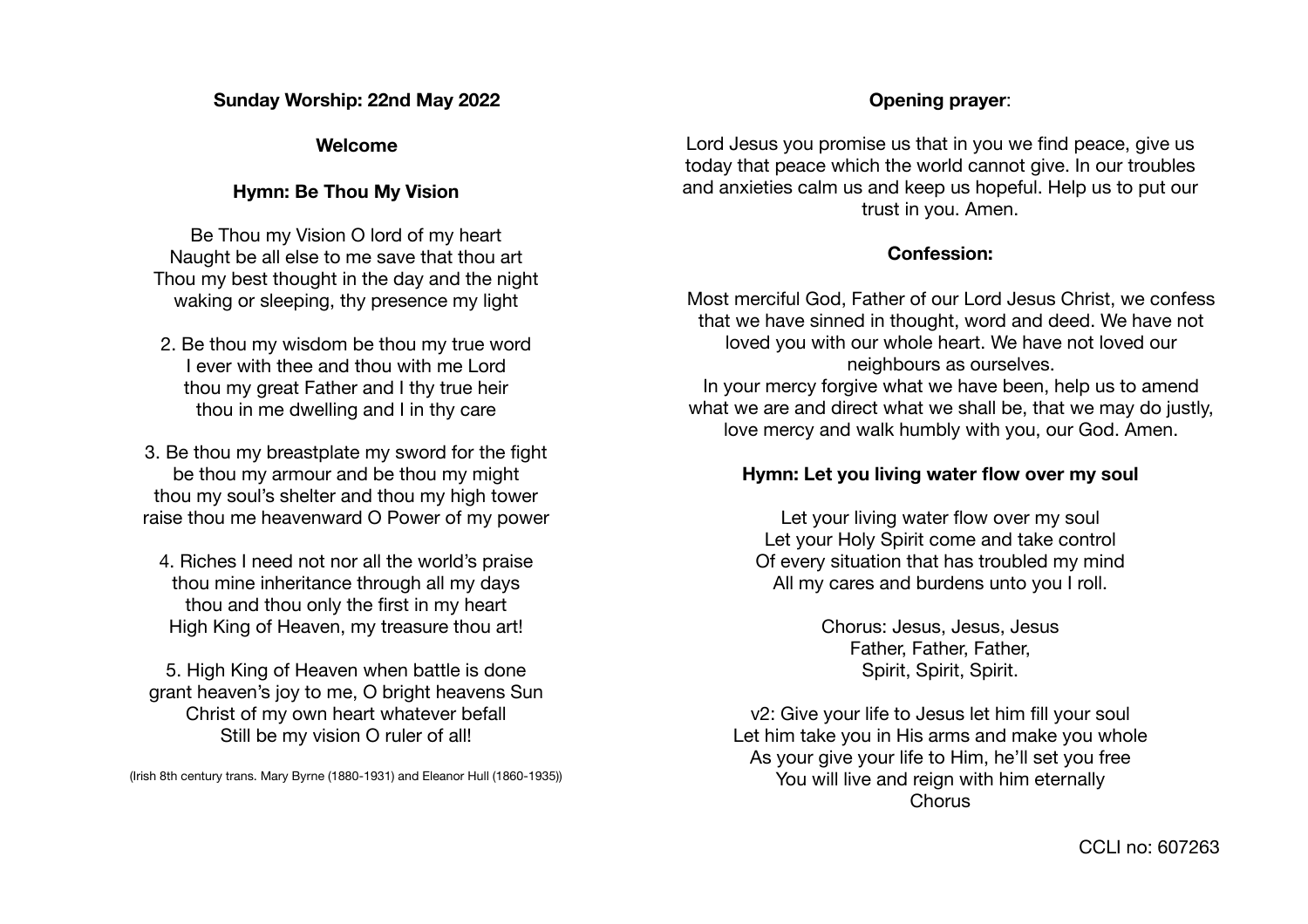### **Sunday Worship: 22nd May 2022**

**Welcome** 

# **Hymn: Be Thou My Vision**

Be Thou my Vision O lord of my heart Naught be all else to me save that thou art Thou my best thought in the day and the night waking or sleeping, thy presence my light

2. Be thou my wisdom be thou my true word I ever with thee and thou with me Lord thou my great Father and I thy true heir thou in me dwelling and I in thy care

3. Be thou my breastplate my sword for the fight be thou my armour and be thou my might thou my soul's shelter and thou my high tower raise thou me heavenward O Power of my power

4. Riches I need not nor all the world's praise thou mine inheritance through all my days thou and thou only the first in my heart High King of Heaven, my treasure thou art!

5. High King of Heaven when battle is done grant heaven's joy to me, O bright heavens Sun Christ of my own heart whatever befall Still be my vision O ruler of all!

(Irish 8th century trans. Mary Byrne (1880-1931) and Eleanor Hull (1860-1935))

# **Opening prayer**:

Lord Jesus you promise us that in you we find peace, give us today that peace which the world cannot give. In our troubles and anxieties calm us and keep us hopeful. Help us to put our trust in you. Amen.

# **Confession:**

Most merciful God, Father of our Lord Jesus Christ, we confess that we have sinned in thought, word and deed. We have not loved you with our whole heart. We have not loved our neighbours as ourselves. In your mercy forgive what we have been, help us to amend what we are and direct what we shall be, that we may do justly, love mercy and walk humbly with you, our God. Amen.

## **Hymn: Let you living water flow over my soul**

Let your living water flow over my soul Let your Holy Spirit come and take control Of every situation that has troubled my mind All my cares and burdens unto you I roll.

> Chorus: Jesus, Jesus, Jesus Father, Father, Father, Spirit, Spirit, Spirit.

v2: Give your life to Jesus let him fill your soul Let him take you in His arms and make you whole As your give your life to Him, he'll set you free You will live and reign with him eternally Chorus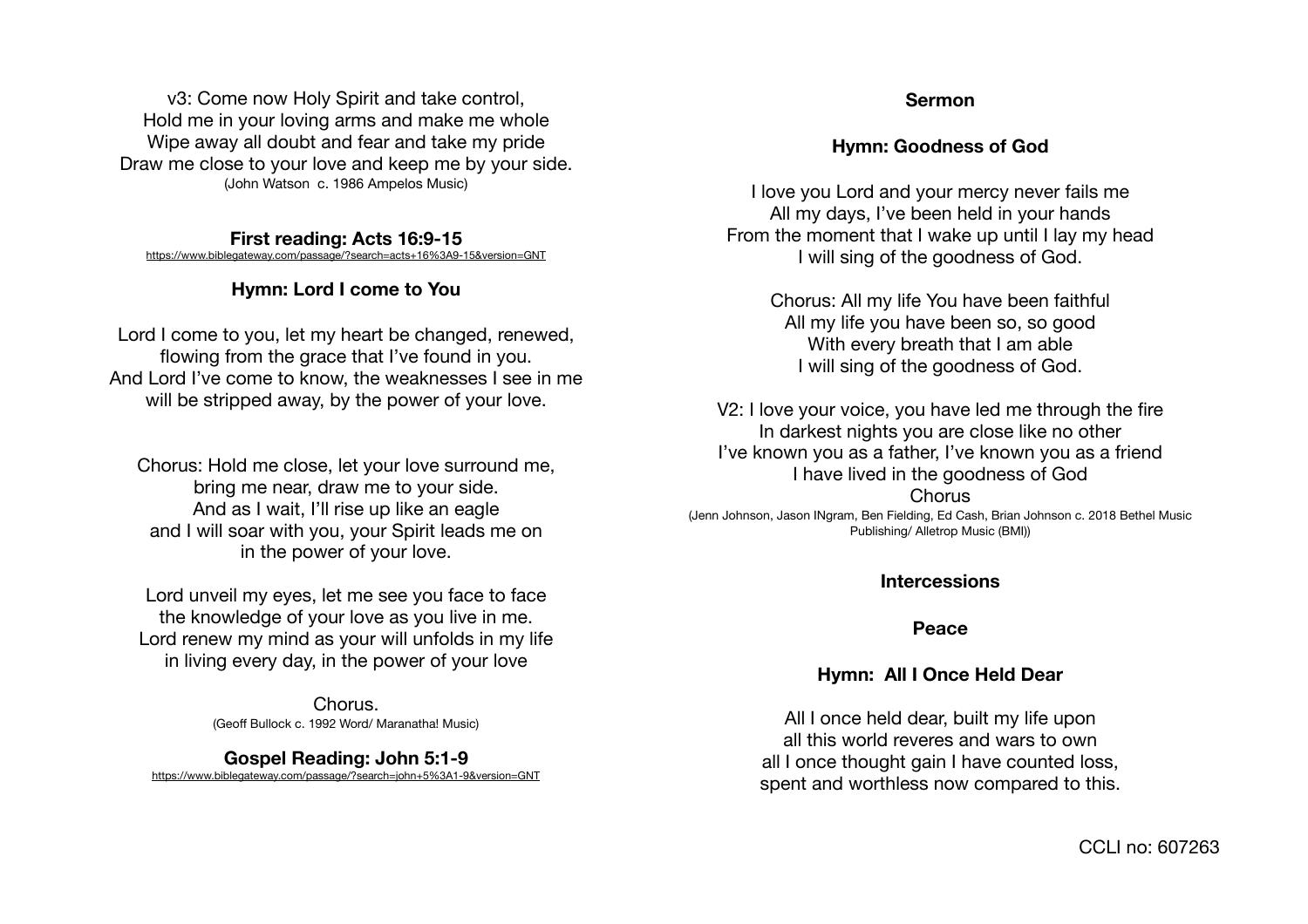v3: Come now Holy Spirit and take control, Hold me in your loving arms and make me whole Wipe away all doubt and fear and take my pride Draw me close to your love and keep me by your side. (John Watson c. 1986 Ampelos Music)

**First reading: Acts 16:9-15**  <https://www.biblegateway.com/passage/?search=acts+16%3A9-15&version=GNT>

## **Hymn: Lord I come to You**

Lord I come to you, let my heart be changed, renewed, flowing from the grace that I've found in you. And Lord I've come to know, the weaknesses I see in me will be stripped away, by the power of your love.

Chorus: Hold me close, let your love surround me, bring me near, draw me to your side. And as I wait, I'll rise up like an eagle and I will soar with you, your Spirit leads me on in the power of your love.

Lord unveil my eyes, let me see you face to face the knowledge of your love as you live in me. Lord renew my mind as your will unfolds in my life in living every day, in the power of your love

> Chorus. (Geoff Bullock c. 1992 Word/ Maranatha! Music)

#### **Gospel Reading: John 5:1-9**  <https://www.biblegateway.com/passage/?search=john+5%3A1-9&version=GNT>

### **Sermon**

## **Hymn: Goodness of God**

I love you Lord and your mercy never fails me All my days, I've been held in your hands From the moment that I wake up until I lay my head I will sing of the goodness of God.

Chorus: All my life You have been faithful All my life you have been so, so good With every breath that I am able I will sing of the goodness of God.

V2: I love your voice, you have led me through the fire In darkest nights you are close like no other I've known you as a father, I've known you as a friend I have lived in the goodness of God

#### **Chorus**

(Jenn Johnson, Jason INgram, Ben Fielding, Ed Cash, Brian Johnson c. 2018 Bethel Music Publishing/ Alletrop Music (BMI))

#### **Intercessions**

#### **Peace**

## **Hymn: All I Once Held Dear**

All I once held dear, built my life upon all this world reveres and wars to own all I once thought gain I have counted loss, spent and worthless now compared to this.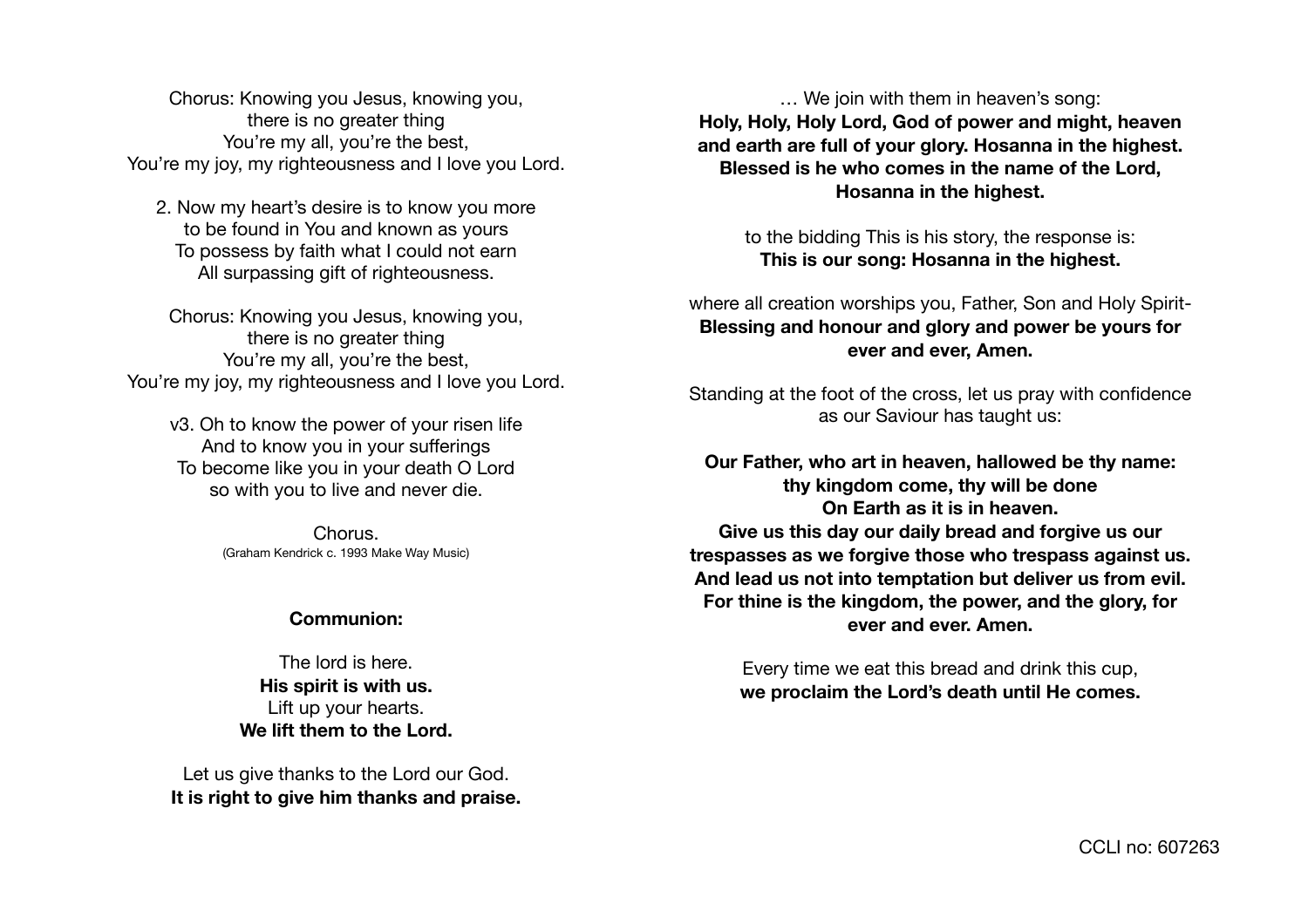Chorus: Knowing you Jesus, knowing you, there is no greater thing You're my all, you're the best, You're my joy, my righteousness and I love you Lord.

2. Now my heart's desire is to know you more to be found in You and known as yours To possess by faith what I could not earn All surpassing gift of righteousness.

Chorus: Knowing you Jesus, knowing you, there is no greater thing You're my all, you're the best, You're my joy, my righteousness and I love you Lord.

v3. Oh to know the power of your risen life And to know you in your sufferings To become like you in your death O Lord so with you to live and never die.

> Chorus. (Graham Kendrick c. 1993 Make Way Music)

#### **Communion:**

The lord is here. **His spirit is with us.**  Lift up your hearts. **We lift them to the Lord.** 

Let us give thanks to the Lord our God. **It is right to give him thanks and praise.** 

… We join with them in heaven's song: **Holy, Holy, Holy Lord, God of power and might, heaven and earth are full of your glory. Hosanna in the highest. Blessed is he who comes in the name of the Lord, Hosanna in the highest.** 

to the bidding This is his story, the response is: **This is our song: Hosanna in the highest.** 

where all creation worships you, Father, Son and Holy Spirit-**Blessing and honour and glory and power be yours for ever and ever, Amen.** 

Standing at the foot of the cross, let us pray with confidence as our Saviour has taught us:

**Our Father, who art in heaven, hallowed be thy name: thy kingdom come, thy will be done On Earth as it is in heaven. Give us this day our daily bread and forgive us our trespasses as we forgive those who trespass against us. And lead us not into temptation but deliver us from evil. For thine is the kingdom, the power, and the glory, for ever and ever. Amen.** 

Every time we eat this bread and drink this cup, **we proclaim the Lord's death until He comes.**